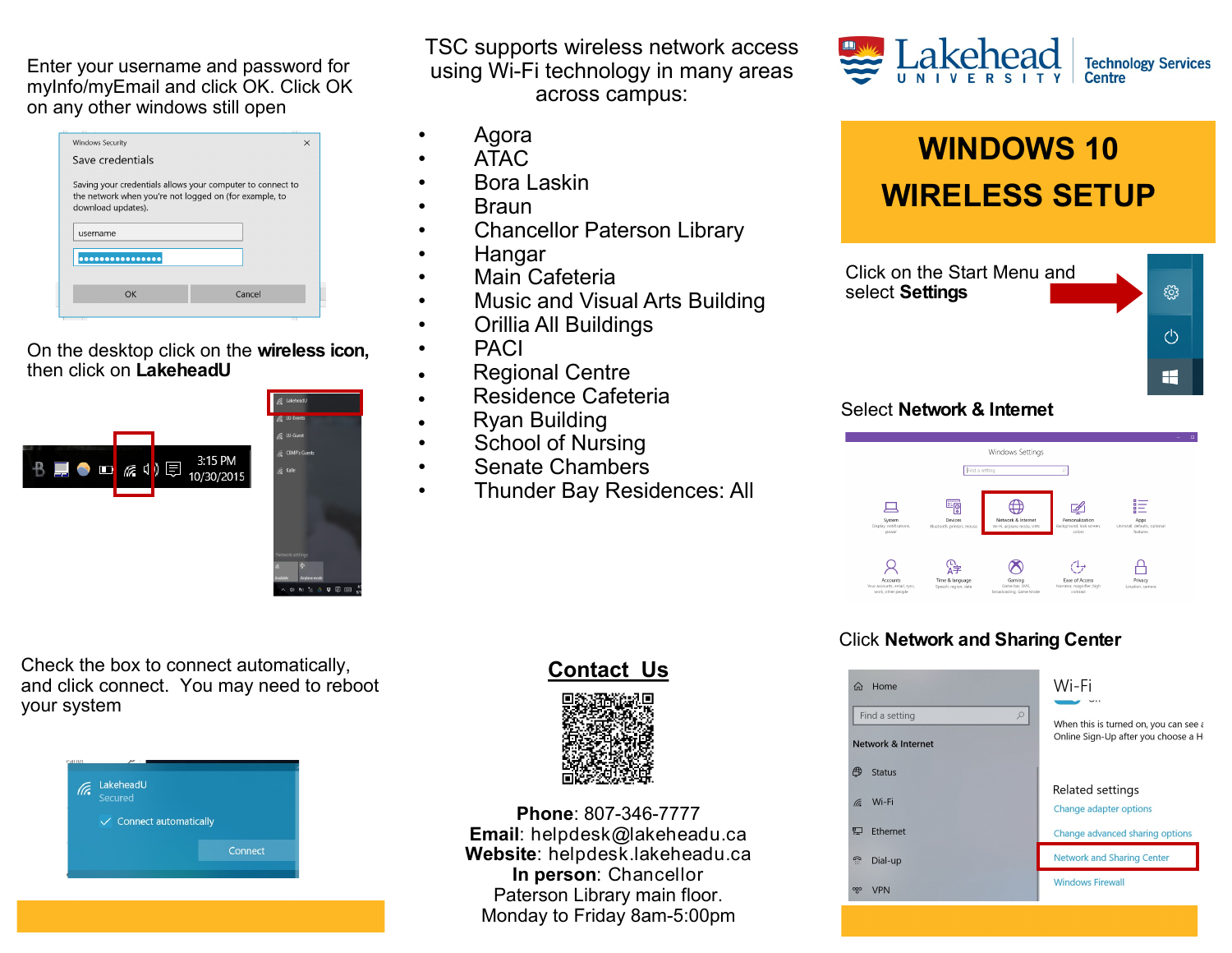Enter your username and password for myInfo/myEmail and click OK. Click OK on any other windows still open

| <b>Windows Security</b>                                                                                                                    | $\times$ |
|--------------------------------------------------------------------------------------------------------------------------------------------|----------|
| Save credentials                                                                                                                           |          |
| Saving your credentials allows your computer to connect to<br>the network when you're not logged on (for example, to<br>download updates). |          |
| username                                                                                                                                   |          |
|                                                                                                                                            |          |
|                                                                                                                                            |          |
| OK                                                                                                                                         | Cancel   |
|                                                                                                                                            |          |
|                                                                                                                                            |          |

#### On the desktop click on the **wireless icon,**  then click on **LakeheadU**



Check the box to connect automatically, and click connect. You may need to reboot your system



TSC supports wireless network access using Wi-Fi technology in many areas across campus:

- Agora
- ATAC
- Bora Laskin
- Braun
- Chancellor Paterson Library
- Hangar
- Main Cafeteria
- Music and Visual Arts Building
- Orillia All Buildings
- PACI
- Regional Centre
- Residence Cafeteria
- Ryan Building
- School of Nursing
- Senate Chambers
- Thunder Bay Residences: All



# **WINDOWS 10 WIRELESS SETUP**



## Select **Network & Internet**



## Click **Network and Sharing Center**

| Home<br>夼<br>Find a setting<br>$\varphi$<br><b>Network &amp; Internet</b> | Wi-Fi<br>When this is turned on, you can see a<br>Online Sign-Up after you choose a H |  |  |  |
|---------------------------------------------------------------------------|---------------------------------------------------------------------------------------|--|--|--|
| ⊕<br><b>Status</b><br>Wi-Fi<br>(Fa                                        | Related settings<br>Change adapter options                                            |  |  |  |
| <b>Ethernet</b><br>出                                                      | Change advanced sharing options                                                       |  |  |  |
| ி<br>Dial-up                                                              | <b>Network and Sharing Center</b>                                                     |  |  |  |
| တွာ<br><b>VPN</b>                                                         | <b>Windows Firewall</b>                                                               |  |  |  |

## **Contact Us**



**Phone**: 807-346-7777 **Email**: helpdesk@lakeheadu.ca **Website**: helpdesk.lakeheadu.ca **In person**: Chancellor Paterson Library main floor. Monday to Friday 8am-5:00pm